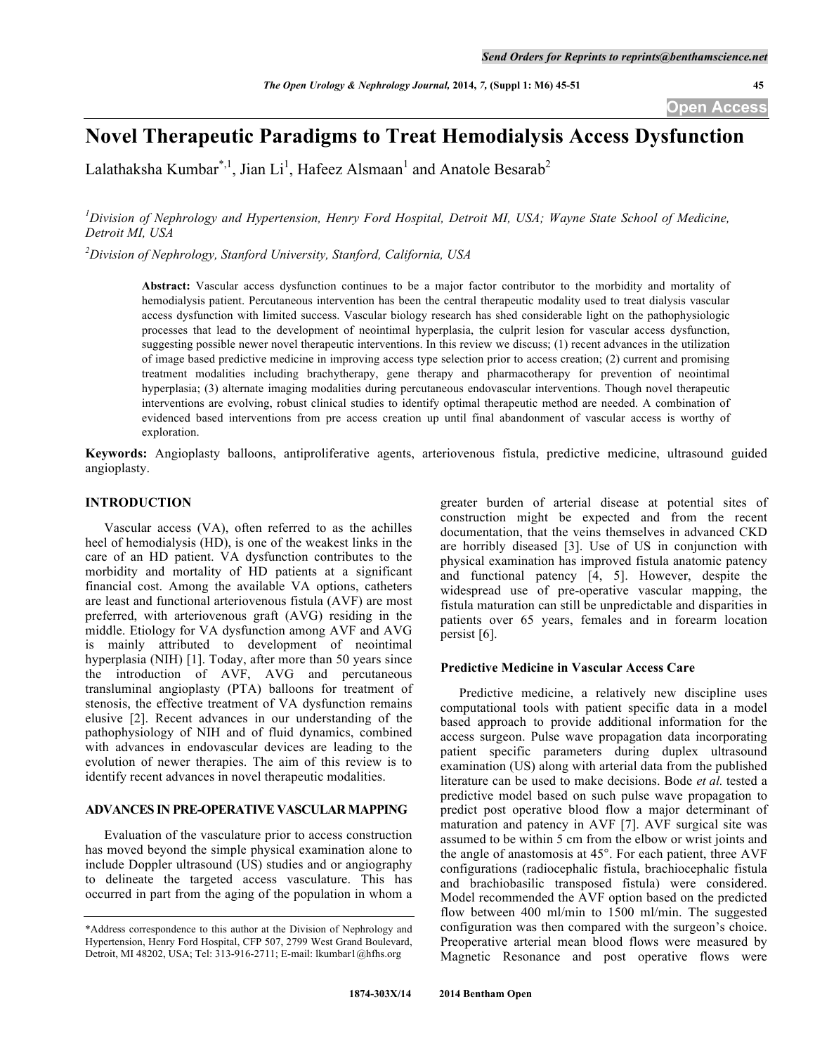# **Novel Therapeutic Paradigms to Treat Hemodialysis Access Dysfunction**

Lalathaksha Kumbar\*,<sup>1</sup>, Jian Li<sup>1</sup>, Hafeez Alsmaan<sup>1</sup> and Anatole Besarab<sup>2</sup>

<sup>1</sup> Division of Nephrology and Hypertension, Henry Ford Hospital, Detroit MI, USA; Wayne State School of Medicine, *Detroit MI, USA*

*2 Division of Nephrology, Stanford University, Stanford, California, USA*

**Abstract:** Vascular access dysfunction continues to be a major factor contributor to the morbidity and mortality of hemodialysis patient. Percutaneous intervention has been the central therapeutic modality used to treat dialysis vascular access dysfunction with limited success. Vascular biology research has shed considerable light on the pathophysiologic processes that lead to the development of neointimal hyperplasia, the culprit lesion for vascular access dysfunction, suggesting possible newer novel therapeutic interventions. In this review we discuss; (1) recent advances in the utilization of image based predictive medicine in improving access type selection prior to access creation; (2) current and promising treatment modalities including brachytherapy, gene therapy and pharmacotherapy for prevention of neointimal hyperplasia; (3) alternate imaging modalities during percutaneous endovascular interventions. Though novel therapeutic interventions are evolving, robust clinical studies to identify optimal therapeutic method are needed. A combination of evidenced based interventions from pre access creation up until final abandonment of vascular access is worthy of exploration.

**Keywords:** Angioplasty balloons, antiproliferative agents, arteriovenous fistula, predictive medicine, ultrasound guided angioplasty.

### **INTRODUCTION**

Vascular access (VA), often referred to as the achilles heel of hemodialysis (HD), is one of the weakest links in the care of an HD patient. VA dysfunction contributes to the morbidity and mortality of HD patients at a significant financial cost. Among the available VA options, catheters are least and functional arteriovenous fistula (AVF) are most preferred, with arteriovenous graft (AVG) residing in the middle. Etiology for VA dysfunction among AVF and AVG is mainly attributed to development of neointimal hyperplasia (NIH) [1]. Today, after more than 50 years since the introduction of AVF, AVG and percutaneous transluminal angioplasty (PTA) balloons for treatment of stenosis, the effective treatment of VA dysfunction remains elusive [2]. Recent advances in our understanding of the pathophysiology of NIH and of fluid dynamics, combined with advances in endovascular devices are leading to the evolution of newer therapies. The aim of this review is to identify recent advances in novel therapeutic modalities.

# **ADVANCES IN PRE-OPERATIVE VASCULAR MAPPING**

Evaluation of the vasculature prior to access construction has moved beyond the simple physical examination alone to include Doppler ultrasound (US) studies and or angiography to delineate the targeted access vasculature. This has occurred in part from the aging of the population in whom a

greater burden of arterial disease at potential sites of construction might be expected and from the recent documentation, that the veins themselves in advanced CKD are horribly diseased [3]. Use of US in conjunction with physical examination has improved fistula anatomic patency and functional patency [4, 5]. However, despite the widespread use of pre-operative vascular mapping, the fistula maturation can still be unpredictable and disparities in patients over 65 years, females and in forearm location persist [6].

### **Predictive Medicine in Vascular Access Care**

Predictive medicine, a relatively new discipline uses computational tools with patient specific data in a model based approach to provide additional information for the access surgeon. Pulse wave propagation data incorporating patient specific parameters during duplex ultrasound examination (US) along with arterial data from the published literature can be used to make decisions. Bode *et al.* tested a predictive model based on such pulse wave propagation to predict post operative blood flow a major determinant of maturation and patency in AVF [7]. AVF surgical site was assumed to be within 5 cm from the elbow or wrist joints and the angle of anastomosis at 45°. For each patient, three AVF configurations (radiocephalic fistula, brachiocephalic fistula and brachiobasilic transposed fistula) were considered. Model recommended the AVF option based on the predicted flow between 400 ml/min to 1500 ml/min. The suggested configuration was then compared with the surgeon's choice. Preoperative arterial mean blood flows were measured by Magnetic Resonance and post operative flows were

<sup>\*</sup>Address correspondence to this author at the Division of Nephrology and Hypertension, Henry Ford Hospital, CFP 507, 2799 West Grand Boulevard, Detroit, MI 48202, USA; Tel: 313-916-2711; E-mail: lkumbar1@hfhs.org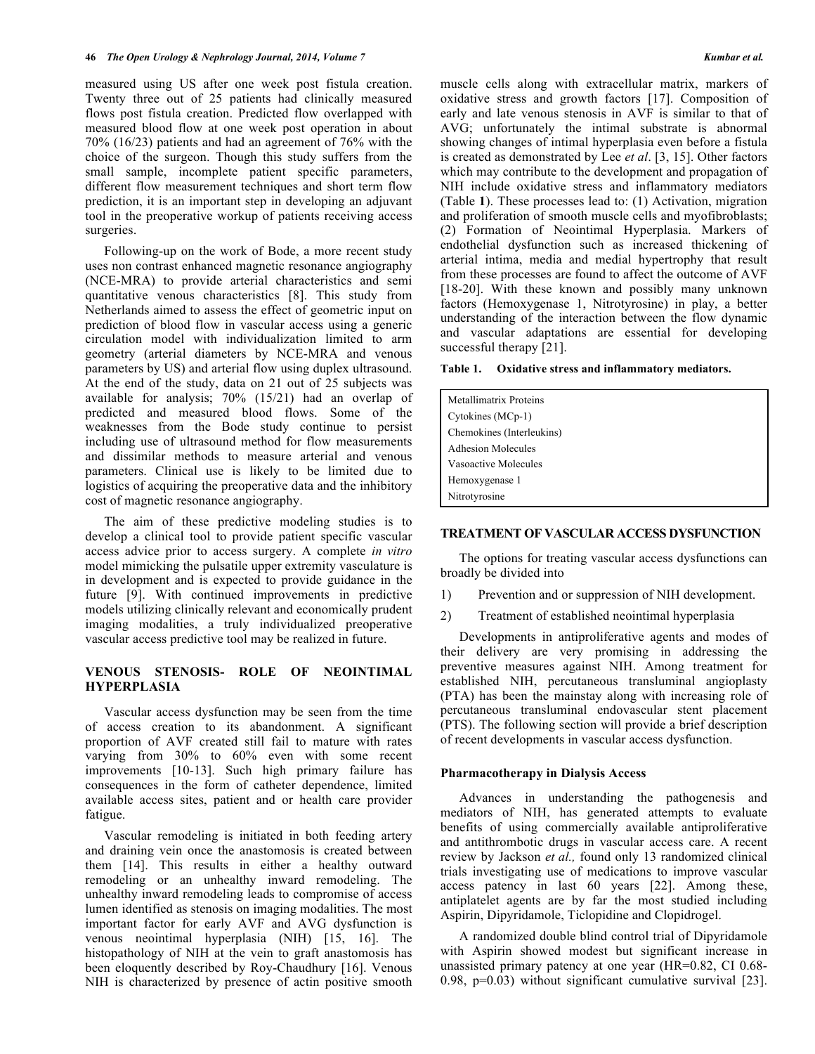measured using US after one week post fistula creation. Twenty three out of 25 patients had clinically measured flows post fistula creation. Predicted flow overlapped with measured blood flow at one week post operation in about 70% (16/23) patients and had an agreement of 76% with the choice of the surgeon. Though this study suffers from the small sample, incomplete patient specific parameters, different flow measurement techniques and short term flow prediction, it is an important step in developing an adjuvant tool in the preoperative workup of patients receiving access surgeries.

Following-up on the work of Bode, a more recent study uses non contrast enhanced magnetic resonance angiography (NCE-MRA) to provide arterial characteristics and semi quantitative venous characteristics [8]. This study from Netherlands aimed to assess the effect of geometric input on prediction of blood flow in vascular access using a generic circulation model with individualization limited to arm geometry (arterial diameters by NCE-MRA and venous parameters by US) and arterial flow using duplex ultrasound. At the end of the study, data on 21 out of 25 subjects was available for analysis; 70% (15/21) had an overlap of predicted and measured blood flows. Some of the weaknesses from the Bode study continue to persist including use of ultrasound method for flow measurements and dissimilar methods to measure arterial and venous parameters. Clinical use is likely to be limited due to logistics of acquiring the preoperative data and the inhibitory cost of magnetic resonance angiography.

The aim of these predictive modeling studies is to develop a clinical tool to provide patient specific vascular access advice prior to access surgery. A complete *in vitro* model mimicking the pulsatile upper extremity vasculature is in development and is expected to provide guidance in the future [9]. With continued improvements in predictive models utilizing clinically relevant and economically prudent imaging modalities, a truly individualized preoperative vascular access predictive tool may be realized in future.

# **VENOUS STENOSIS- ROLE OF NEOINTIMAL HYPERPLASIA**

Vascular access dysfunction may be seen from the time of access creation to its abandonment. A significant proportion of AVF created still fail to mature with rates varying from 30% to 60% even with some recent improvements [10-13]. Such high primary failure has consequences in the form of catheter dependence, limited available access sites, patient and or health care provider fatigue.

Vascular remodeling is initiated in both feeding artery and draining vein once the anastomosis is created between them [14]. This results in either a healthy outward remodeling or an unhealthy inward remodeling. The unhealthy inward remodeling leads to compromise of access lumen identified as stenosis on imaging modalities. The most important factor for early AVF and AVG dysfunction is venous neointimal hyperplasia (NIH) [15, 16]. The histopathology of NIH at the vein to graft anastomosis has been eloquently described by Roy-Chaudhury [16]. Venous NIH is characterized by presence of actin positive smooth

muscle cells along with extracellular matrix, markers of oxidative stress and growth factors [17]. Composition of early and late venous stenosis in AVF is similar to that of AVG; unfortunately the intimal substrate is abnormal showing changes of intimal hyperplasia even before a fistula is created as demonstrated by Lee *et al*. [3, 15]. Other factors which may contribute to the development and propagation of NIH include oxidative stress and inflammatory mediators (Table **1**). These processes lead to: (1) Activation, migration and proliferation of smooth muscle cells and myofibroblasts; (2) Formation of Neointimal Hyperplasia. Markers of endothelial dysfunction such as increased thickening of arterial intima, media and medial hypertrophy that result from these processes are found to affect the outcome of AVF [18-20]. With these known and possibly many unknown factors (Hemoxygenase 1, Nitrotyrosine) in play, a better understanding of the interaction between the flow dynamic and vascular adaptations are essential for developing successful therapy [21].

**Table 1. Oxidative stress and inflammatory mediators.**

| <b>Metallimatrix Proteins</b> |
|-------------------------------|
| Cytokines (MCp-1)             |
| Chemokines (Interleukins)     |
| <b>Adhesion Molecules</b>     |
| Vasoactive Molecules          |
| Hemoxygenase 1                |
| Nitrotyrosine                 |

#### **TREATMENT OF VASCULAR ACCESS DYSFUNCTION**

The options for treating vascular access dysfunctions can broadly be divided into

- 1) Prevention and or suppression of NIH development.
- 2) Treatment of established neointimal hyperplasia

Developments in antiproliferative agents and modes of their delivery are very promising in addressing the preventive measures against NIH. Among treatment for established NIH, percutaneous transluminal angioplasty (PTA) has been the mainstay along with increasing role of percutaneous transluminal endovascular stent placement (PTS). The following section will provide a brief description of recent developments in vascular access dysfunction.

### **Pharmacotherapy in Dialysis Access**

Advances in understanding the pathogenesis and mediators of NIH, has generated attempts to evaluate benefits of using commercially available antiproliferative and antithrombotic drugs in vascular access care. A recent review by Jackson *et al.,* found only 13 randomized clinical trials investigating use of medications to improve vascular access patency in last 60 years [22]. Among these, antiplatelet agents are by far the most studied including Aspirin, Dipyridamole, Ticlopidine and Clopidrogel.

A randomized double blind control trial of Dipyridamole with Aspirin showed modest but significant increase in unassisted primary patency at one year (HR=0.82, CI 0.68- 0.98, p=0.03) without significant cumulative survival [23].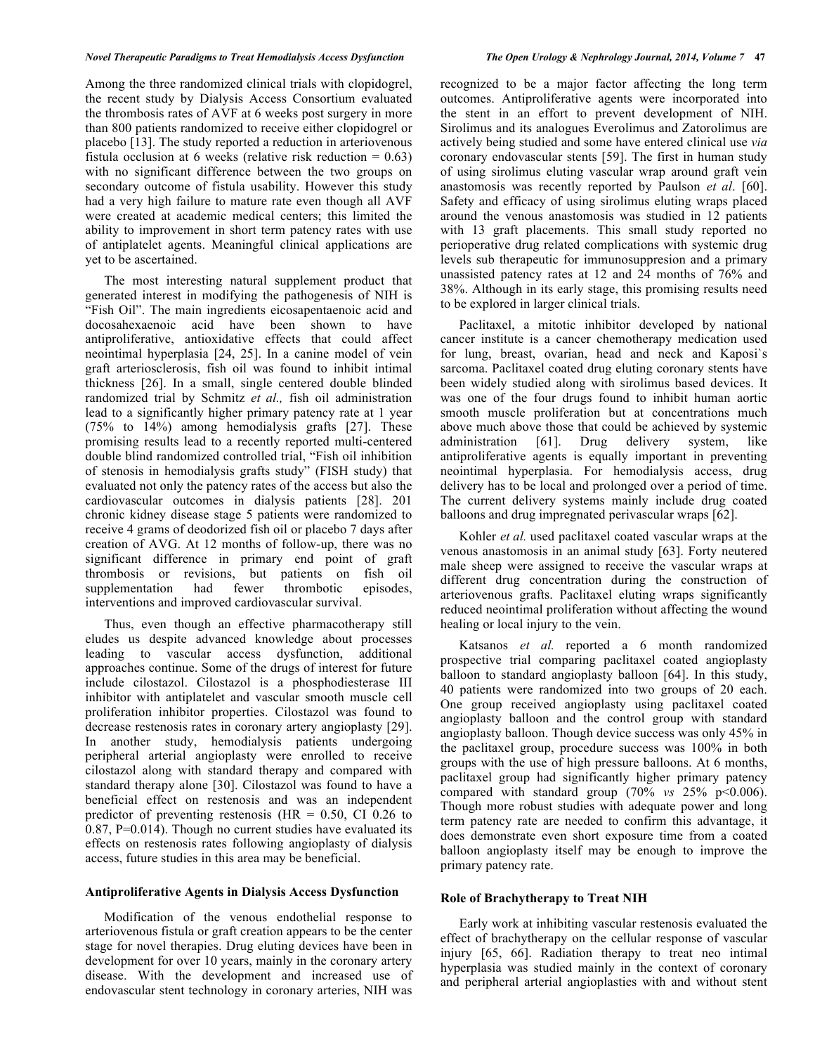# *Novel Therapeutic Paradigms to Treat Hemodialysis Access Dysfunction The Open Urology & Nephrology Journal, 2014, Volume 7* **47**

Among the three randomized clinical trials with clopidogrel, the recent study by Dialysis Access Consortium evaluated the thrombosis rates of AVF at 6 weeks post surgery in more than 800 patients randomized to receive either clopidogrel or placebo [13]. The study reported a reduction in arteriovenous fistula occlusion at 6 weeks (relative risk reduction  $= 0.63$ ) with no significant difference between the two groups on secondary outcome of fistula usability. However this study had a very high failure to mature rate even though all AVF were created at academic medical centers; this limited the ability to improvement in short term patency rates with use of antiplatelet agents. Meaningful clinical applications are yet to be ascertained.

The most interesting natural supplement product that generated interest in modifying the pathogenesis of NIH is "Fish Oil". The main ingredients eicosapentaenoic acid and docosahexaenoic acid have been shown to have antiproliferative, antioxidative effects that could affect neointimal hyperplasia [24, 25]. In a canine model of vein graft arteriosclerosis, fish oil was found to inhibit intimal thickness [26]. In a small, single centered double blinded randomized trial by Schmitz *et al.,* fish oil administration lead to a significantly higher primary patency rate at 1 year (75% to 14%) among hemodialysis grafts [27]. These promising results lead to a recently reported multi-centered double blind randomized controlled trial, "Fish oil inhibition of stenosis in hemodialysis grafts study" (FISH study) that evaluated not only the patency rates of the access but also the cardiovascular outcomes in dialysis patients [28]. 201 chronic kidney disease stage 5 patients were randomized to receive 4 grams of deodorized fish oil or placebo 7 days after creation of AVG. At 12 months of follow-up, there was no significant difference in primary end point of graft thrombosis or revisions, but patients on fish oil supplementation had fewer thrombotic episodes, interventions and improved cardiovascular survival.

Thus, even though an effective pharmacotherapy still eludes us despite advanced knowledge about processes leading to vascular access dysfunction, additional approaches continue. Some of the drugs of interest for future include cilostazol. Cilostazol is a phosphodiesterase III inhibitor with antiplatelet and vascular smooth muscle cell proliferation inhibitor properties. Cilostazol was found to decrease restenosis rates in coronary artery angioplasty [29]. In another study, hemodialysis patients undergoing peripheral arterial angioplasty were enrolled to receive cilostazol along with standard therapy and compared with standard therapy alone [30]. Cilostazol was found to have a beneficial effect on restenosis and was an independent predictor of preventing restenosis ( $HR = 0.50$ , CI 0.26 to  $0.87$ , P=0.014). Though no current studies have evaluated its effects on restenosis rates following angioplasty of dialysis access, future studies in this area may be beneficial.

# **Antiproliferative Agents in Dialysis Access Dysfunction**

Modification of the venous endothelial response to arteriovenous fistula or graft creation appears to be the center stage for novel therapies. Drug eluting devices have been in development for over 10 years, mainly in the coronary artery disease. With the development and increased use of endovascular stent technology in coronary arteries, NIH was

recognized to be a major factor affecting the long term outcomes. Antiproliferative agents were incorporated into the stent in an effort to prevent development of NIH. Sirolimus and its analogues Everolimus and Zatorolimus are actively being studied and some have entered clinical use *via*  coronary endovascular stents [59]. The first in human study of using sirolimus eluting vascular wrap around graft vein anastomosis was recently reported by Paulson *et al*. [60]. Safety and efficacy of using sirolimus eluting wraps placed around the venous anastomosis was studied in 12 patients with 13 graft placements. This small study reported no perioperative drug related complications with systemic drug levels sub therapeutic for immunosuppresion and a primary unassisted patency rates at 12 and 24 months of 76% and 38%. Although in its early stage, this promising results need to be explored in larger clinical trials.

Paclitaxel, a mitotic inhibitor developed by national cancer institute is a cancer chemotherapy medication used for lung, breast, ovarian, head and neck and Kaposi`s sarcoma. Paclitaxel coated drug eluting coronary stents have been widely studied along with sirolimus based devices. It was one of the four drugs found to inhibit human aortic smooth muscle proliferation but at concentrations much above much above those that could be achieved by systemic administration [61]. Drug delivery system, like antiproliferative agents is equally important in preventing neointimal hyperplasia. For hemodialysis access, drug delivery has to be local and prolonged over a period of time. The current delivery systems mainly include drug coated balloons and drug impregnated perivascular wraps [62].

Kohler *et al.* used paclitaxel coated vascular wraps at the venous anastomosis in an animal study [63]. Forty neutered male sheep were assigned to receive the vascular wraps at different drug concentration during the construction of arteriovenous grafts. Paclitaxel eluting wraps significantly reduced neointimal proliferation without affecting the wound healing or local injury to the vein.

Katsanos *et al.* reported a 6 month randomized prospective trial comparing paclitaxel coated angioplasty balloon to standard angioplasty balloon [64]. In this study, 40 patients were randomized into two groups of 20 each. One group received angioplasty using paclitaxel coated angioplasty balloon and the control group with standard angioplasty balloon. Though device success was only 45% in the paclitaxel group, procedure success was 100% in both groups with the use of high pressure balloons. At 6 months, paclitaxel group had significantly higher primary patency compared with standard group  $(70\% \text{ vs } 25\% \text{ p} < 0.006)$ . Though more robust studies with adequate power and long term patency rate are needed to confirm this advantage, it does demonstrate even short exposure time from a coated balloon angioplasty itself may be enough to improve the primary patency rate.

# **Role of Brachytherapy to Treat NIH**

Early work at inhibiting vascular restenosis evaluated the effect of brachytherapy on the cellular response of vascular injury [65, 66]. Radiation therapy to treat neo intimal hyperplasia was studied mainly in the context of coronary and peripheral arterial angioplasties with and without stent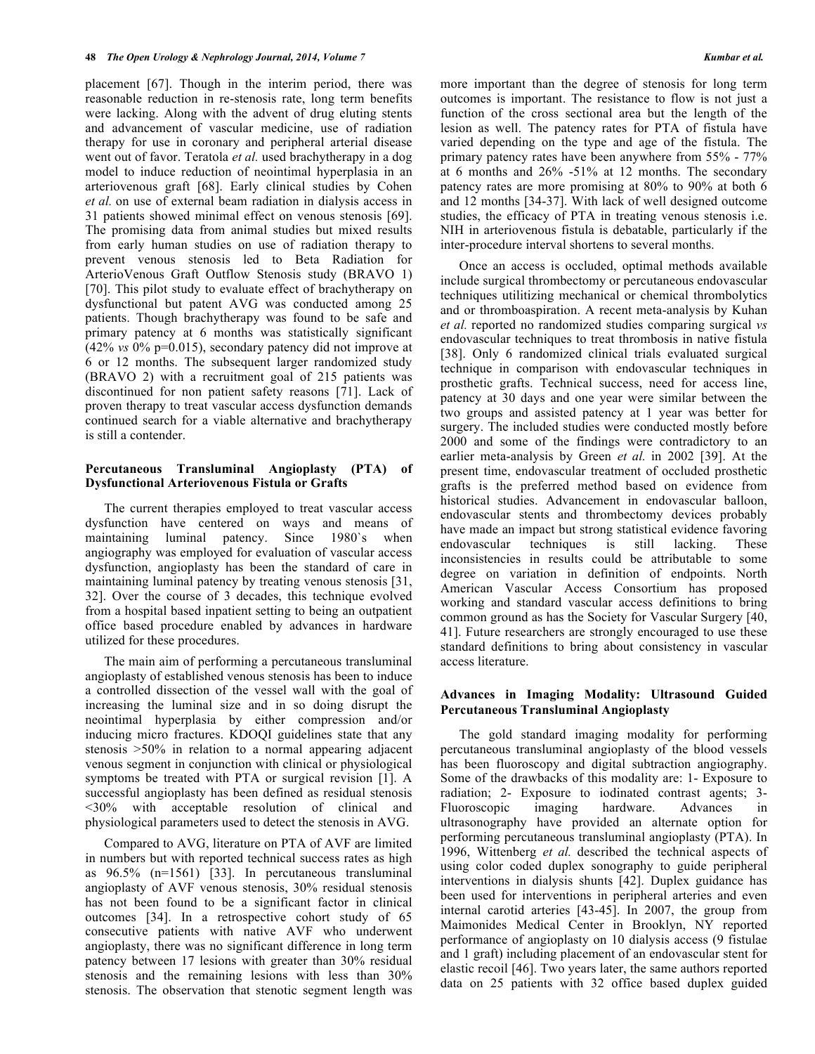placement [67]. Though in the interim period, there was reasonable reduction in re-stenosis rate, long term benefits were lacking. Along with the advent of drug eluting stents and advancement of vascular medicine, use of radiation therapy for use in coronary and peripheral arterial disease went out of favor. Teratola *et al.* used brachytherapy in a dog model to induce reduction of neointimal hyperplasia in an arteriovenous graft [68]. Early clinical studies by Cohen *et al.* on use of external beam radiation in dialysis access in 31 patients showed minimal effect on venous stenosis [69]. The promising data from animal studies but mixed results from early human studies on use of radiation therapy to prevent venous stenosis led to Beta Radiation for ArterioVenous Graft Outflow Stenosis study (BRAVO 1) [70]. This pilot study to evaluate effect of brachytherapy on dysfunctional but patent AVG was conducted among 25 patients. Though brachytherapy was found to be safe and primary patency at 6 months was statistically significant (42% *vs* 0% p=0.015), secondary patency did not improve at 6 or 12 months. The subsequent larger randomized study (BRAVO 2) with a recruitment goal of 215 patients was discontinued for non patient safety reasons [71]. Lack of proven therapy to treat vascular access dysfunction demands continued search for a viable alternative and brachytherapy is still a contender.

# **Percutaneous Transluminal Angioplasty (PTA) of Dysfunctional Arteriovenous Fistula or Grafts**

The current therapies employed to treat vascular access dysfunction have centered on ways and means of maintaining luminal patency. Since 1980`s when angiography was employed for evaluation of vascular access dysfunction, angioplasty has been the standard of care in maintaining luminal patency by treating venous stenosis [31, 32]. Over the course of 3 decades, this technique evolved from a hospital based inpatient setting to being an outpatient office based procedure enabled by advances in hardware utilized for these procedures.

The main aim of performing a percutaneous transluminal angioplasty of established venous stenosis has been to induce a controlled dissection of the vessel wall with the goal of increasing the luminal size and in so doing disrupt the neointimal hyperplasia by either compression and/or inducing micro fractures. KDOQI guidelines state that any stenosis >50% in relation to a normal appearing adjacent venous segment in conjunction with clinical or physiological symptoms be treated with PTA or surgical revision [1]. A successful angioplasty has been defined as residual stenosis <30% with acceptable resolution of clinical and physiological parameters used to detect the stenosis in AVG.

Compared to AVG, literature on PTA of AVF are limited in numbers but with reported technical success rates as high as 96.5% (n=1561) [33]. In percutaneous transluminal angioplasty of AVF venous stenosis, 30% residual stenosis has not been found to be a significant factor in clinical outcomes [34]. In a retrospective cohort study of 65 consecutive patients with native AVF who underwent angioplasty, there was no significant difference in long term patency between 17 lesions with greater than 30% residual stenosis and the remaining lesions with less than 30% stenosis. The observation that stenotic segment length was

more important than the degree of stenosis for long term outcomes is important. The resistance to flow is not just a function of the cross sectional area but the length of the lesion as well. The patency rates for PTA of fistula have varied depending on the type and age of the fistula. The primary patency rates have been anywhere from 55% - 77% at 6 months and 26% -51% at 12 months. The secondary patency rates are more promising at 80% to 90% at both 6 and 12 months [34-37]. With lack of well designed outcome studies, the efficacy of PTA in treating venous stenosis i.e. NIH in arteriovenous fistula is debatable, particularly if the inter-procedure interval shortens to several months.

Once an access is occluded, optimal methods available include surgical thrombectomy or percutaneous endovascular techniques utilitizing mechanical or chemical thrombolytics and or thromboaspiration. A recent meta-analysis by Kuhan *et al.* reported no randomized studies comparing surgical *vs* endovascular techniques to treat thrombosis in native fistula [38]. Only 6 randomized clinical trials evaluated surgical technique in comparison with endovascular techniques in prosthetic grafts. Technical success, need for access line, patency at 30 days and one year were similar between the two groups and assisted patency at 1 year was better for surgery. The included studies were conducted mostly before 2000 and some of the findings were contradictory to an earlier meta-analysis by Green *et al.* in 2002 [39]. At the present time, endovascular treatment of occluded prosthetic grafts is the preferred method based on evidence from historical studies. Advancement in endovascular balloon, endovascular stents and thrombectomy devices probably have made an impact but strong statistical evidence favoring endovascular techniques is still lacking. These inconsistencies in results could be attributable to some degree on variation in definition of endpoints. North American Vascular Access Consortium has proposed working and standard vascular access definitions to bring common ground as has the Society for Vascular Surgery [40, 41]. Future researchers are strongly encouraged to use these standard definitions to bring about consistency in vascular access literature.

# **Advances in Imaging Modality: Ultrasound Guided Percutaneous Transluminal Angioplasty**

The gold standard imaging modality for performing percutaneous transluminal angioplasty of the blood vessels has been fluoroscopy and digital subtraction angiography. Some of the drawbacks of this modality are: 1- Exposure to radiation; 2- Exposure to iodinated contrast agents; 3- Fluoroscopic imaging hardware. Advances in ultrasonography have provided an alternate option for performing percutaneous transluminal angioplasty (PTA). In 1996, Wittenberg *et al.* described the technical aspects of using color coded duplex sonography to guide peripheral interventions in dialysis shunts [42]. Duplex guidance has been used for interventions in peripheral arteries and even internal carotid arteries [43-45]. In 2007, the group from Maimonides Medical Center in Brooklyn, NY reported performance of angioplasty on 10 dialysis access (9 fistulae and 1 graft) including placement of an endovascular stent for elastic recoil [46]. Two years later, the same authors reported data on 25 patients with 32 office based duplex guided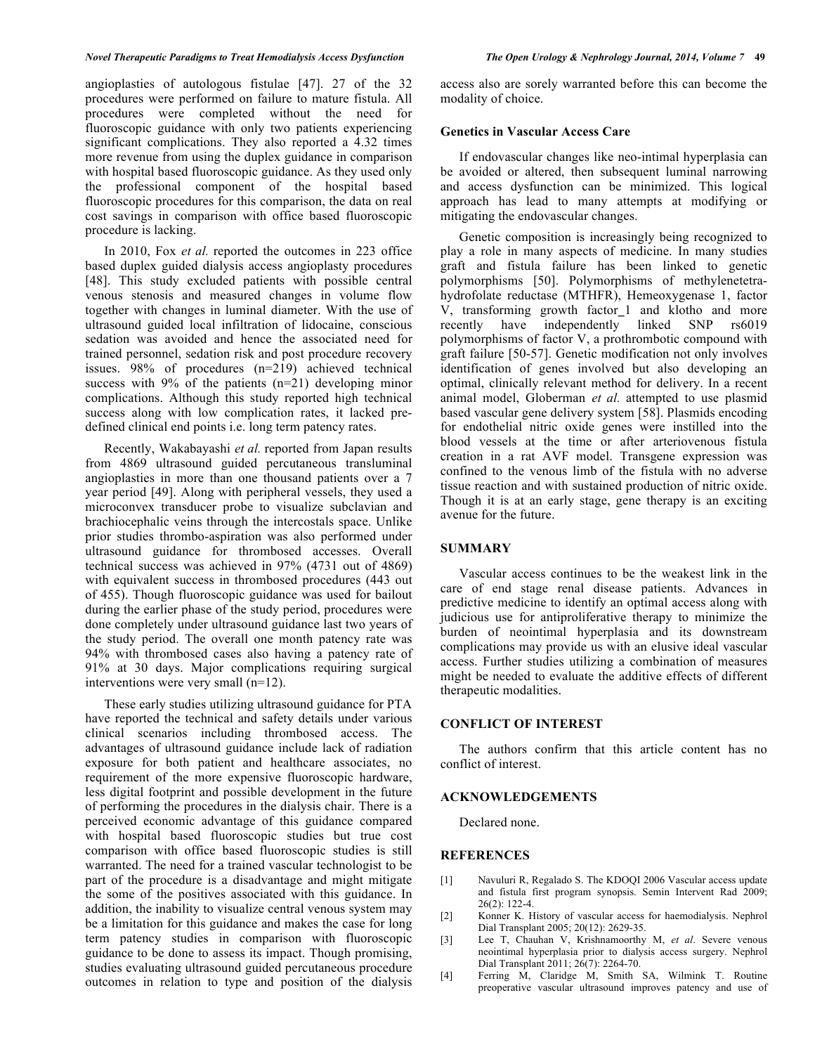angioplasties of autologous fistulae [47]. 27 of the 32 procedures were performed on failure to mature fistula. All procedures were completed without the need for fluoroscopic guidance with only two patients experiencing significant complications. They also reported a 4.32 times more revenue from using the duplex guidance in comparison with hospital based fluoroscopic guidance. As they used only the professional component of the hospital based fluoroscopic procedures for this comparison, the data on real cost savings in comparison with office based fluoroscopic procedure is lacking.

In 2010, Fox *et al.* reported the outcomes in 223 office based duplex guided dialysis access angioplasty procedures [48]. This study excluded patients with possible central venous stenosis and measured changes in volume flow together with changes in luminal diameter. With the use of ultrasound guided local infiltration of lidocaine, conscious sedation was avoided and hence the associated need for trained personnel, sedation risk and post procedure recovery issues. 98% of procedures (n=219) achieved technical success with  $9\%$  of the patients (n=21) developing minor complications. Although this study reported high technical success along with low complication rates, it lacked predefined clinical end points i.e. long term patency rates.

Recently, Wakabayashi *et al.* reported from Japan results from 4869 ultrasound guided percutaneous transluminal angioplasties in more than one thousand patients over a 7 year period [49]. Along with peripheral vessels, they used a microconvex transducer probe to visualize subclavian and brachiocephalic veins through the intercostals space. Unlike prior studies thrombo-aspiration was also performed under ultrasound guidance for thrombosed accesses. Overall technical success was achieved in 97% (4731 out of 4869) with equivalent success in thrombosed procedures (443 out of 455). Though fluoroscopic guidance was used for bailout during the earlier phase of the study period, procedures were done completely under ultrasound guidance last two years of the study period. The overall one month patency rate was 94% with thrombosed cases also having a patency rate of 91% at 30 days. Major complications requiring surgical interventions were very small (n=12).

These early studies utilizing ultrasound guidance for PTA have reported the technical and safety details under various clinical scenarios including thrombosed access. The advantages of ultrasound guidance include lack of radiation exposure for both patient and healthcare associates, no requirement of the more expensive fluoroscopic hardware, less digital footprint and possible development in the future of performing the procedures in the dialysis chair. There is a perceived economic advantage of this guidance compared with hospital based fluoroscopic studies but true cost comparison with office based fluoroscopic studies is still warranted. The need for a trained vascular technologist to be part of the procedure is a disadvantage and might mitigate the some of the positives associated with this guidance. In addition, the inability to visualize central venous system may be a limitation for this guidance and makes the case for long term patency studies in comparison with fluoroscopic guidance to be done to assess its impact. Though promising, studies evaluating ultrasound guided percutaneous procedure outcomes in relation to type and position of the dialysis

access also are sorely warranted before this can become the modality of choice.

#### **Genetics in Vascular Access Care**

If endovascular changes like neo-intimal hyperplasia can be avoided or altered, then subsequent luminal narrowing and access dysfunction can be minimized. This logical approach has lead to many attempts at modifying or mitigating the endovascular changes.

Genetic composition is increasingly being recognized to play a role in many aspects of medicine. In many studies graft and fistula failure has been linked to genetic polymorphisms [50]. Polymorphisms of methylenetetrahydrofolate reductase (MTHFR), Hemeoxygenase 1, factor V, transforming growth factor\_1 and klotho and more recently have independently linked SNP rs6019 polymorphisms of factor V, a prothrombotic compound with graft failure [50-57]. Genetic modification not only involves identification of genes involved but also developing an optimal, clinically relevant method for delivery. In a recent animal model, Globerman *et al.* attempted to use plasmid based vascular gene delivery system [58]. Plasmids encoding for endothelial nitric oxide genes were instilled into the blood vessels at the time or after arteriovenous fistula creation in a rat AVF model. Transgene expression was confined to the venous limb of the fistula with no adverse tissue reaction and with sustained production of nitric oxide. Though it is at an early stage, gene therapy is an exciting avenue for the future.

# **SUMMARY**

Vascular access continues to be the weakest link in the care of end stage renal disease patients. Advances in predictive medicine to identify an optimal access along with judicious use for antiproliferative therapy to minimize the burden of neointimal hyperplasia and its downstream complications may provide us with an elusive ideal vascular access. Further studies utilizing a combination of measures might be needed to evaluate the additive effects of different therapeutic modalities.

# **CONFLICT OF INTEREST**

The authors confirm that this article content has no conflict of interest.

# **ACKNOWLEDGEMENTS**

Declared none.

# **REFERENCES**

- [1] Navuluri R, Regalado S. The KDOQI 2006 Vascular access update and fistula first program synopsis. Semin Intervent Rad 2009; 26(2): 122-4.
- [2] Konner K. History of vascular access for haemodialysis. Nephrol Dial Transplant 2005; 20(12): 2629-35.
- [3] Lee T, Chauhan V, Krishnamoorthy M, *et al*. Severe venous neointimal hyperplasia prior to dialysis access surgery. Nephrol Dial Transplant 2011; 26(7): 2264-70.
- [4] Ferring M, Claridge M, Smith SA, Wilmink T. Routine preoperative vascular ultrasound improves patency and use of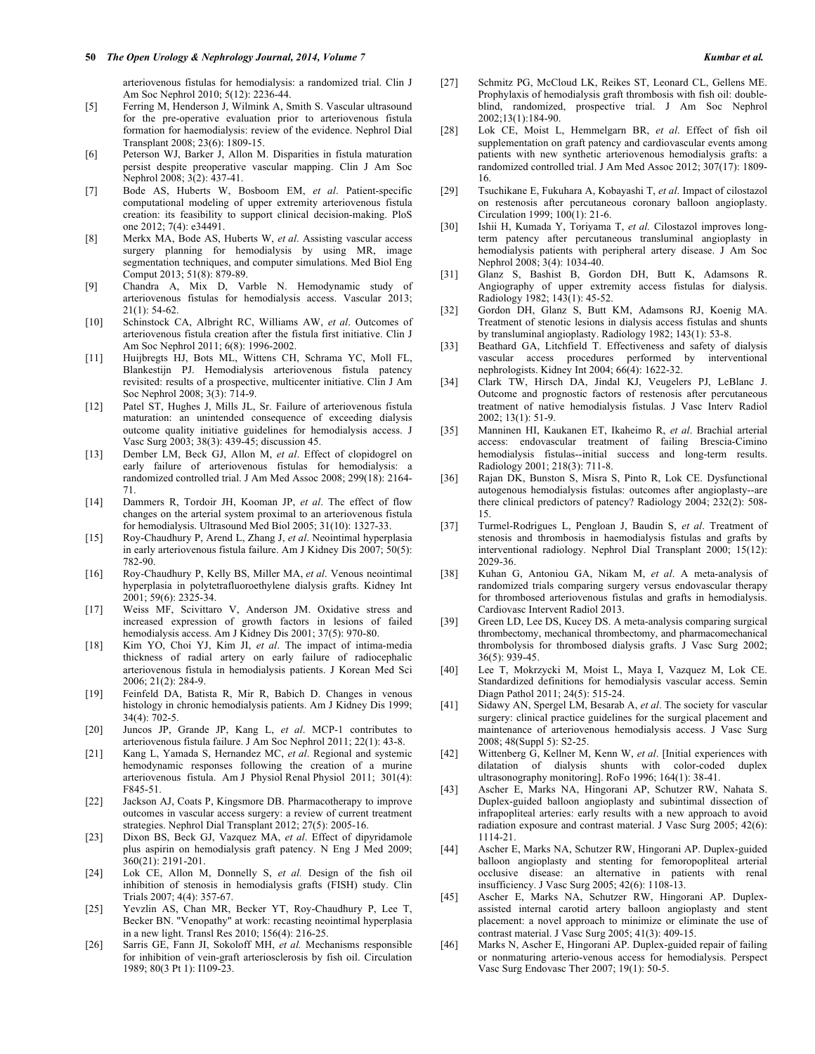arteriovenous fistulas for hemodialysis: a randomized trial. Clin J Am Soc Nephrol 2010; 5(12): 2236-44.

- [5] Ferring M, Henderson J, Wilmink A, Smith S. Vascular ultrasound for the pre-operative evaluation prior to arteriovenous fistula formation for haemodialysis: review of the evidence. Nephrol Dial Transplant 2008; 23(6): 1809-15.
- [6] Peterson WJ, Barker J, Allon M. Disparities in fistula maturation persist despite preoperative vascular mapping. Clin J Am Soc Nephrol 2008; 3(2): 437-41.
- [7] Bode AS, Huberts W, Bosboom EM, *et al*. Patient-specific computational modeling of upper extremity arteriovenous fistula creation: its feasibility to support clinical decision-making. PloS one 2012; 7(4): e34491.
- [8] Merkx MA, Bode AS, Huberts W, *et al*. Assisting vascular access surgery planning for hemodialysis by using MR, image segmentation techniques, and computer simulations. Med Biol Eng Comput 2013; 51(8): 879-89.
- [9] Chandra A, Mix D, Varble N. Hemodynamic study of arteriovenous fistulas for hemodialysis access. Vascular 2013; 21(1): 54-62.
- [10] Schinstock CA, Albright RC, Williams AW, *et al*. Outcomes of arteriovenous fistula creation after the fistula first initiative. Clin J Am Soc Nephrol 2011; 6(8): 1996-2002.
- [11] Huijbregts HJ, Bots ML, Wittens CH, Schrama YC, Moll FL, Blankestijn PJ. Hemodialysis arteriovenous fistula patency revisited: results of a prospective, multicenter initiative. Clin J Am Soc Nephrol 2008; 3(3): 714-9.
- [12] Patel ST, Hughes J, Mills JL, Sr. Failure of arteriovenous fistula maturation: an unintended consequence of exceeding dialysis outcome quality initiative guidelines for hemodialysis access. J Vasc Surg 2003; 38(3): 439-45; discussion 45.
- [13] Dember LM, Beck GJ, Allon M, et al. Effect of clopidogrel on early failure of arteriovenous fistulas for hemodialysis: a randomized controlled trial. J Am Med Assoc 2008; 299(18): 2164- 71.
- [14] Dammers R, Tordoir JH, Kooman JP, *et al*. The effect of flow changes on the arterial system proximal to an arteriovenous fistula for hemodialysis. Ultrasound Med Biol 2005; 31(10): 1327-33.
- [15] Roy-Chaudhury P, Arend L, Zhang J, *et al*. Neointimal hyperplasia in early arteriovenous fistula failure. Am J Kidney Dis 2007; 50(5): 782-90.
- [16] Roy-Chaudhury P, Kelly BS, Miller MA, *et al*. Venous neointimal hyperplasia in polytetrafluoroethylene dialysis grafts. Kidney Int 2001; 59(6): 2325-34.
- [17] Weiss MF, Scivittaro V, Anderson JM. Oxidative stress and increased expression of growth factors in lesions of failed hemodialysis access. Am J Kidney Dis 2001; 37(5): 970-80.
- [18] Kim YO, Choi YJ, Kim JI, *et al*. The impact of intima-media thickness of radial artery on early failure of radiocephalic arteriovenous fistula in hemodialysis patients. J Korean Med Sci 2006; 21(2): 284-9.
- [19] Feinfeld DA, Batista R, Mir R, Babich D. Changes in venous histology in chronic hemodialysis patients. Am J Kidney Dis 1999; 34(4): 702-5.
- [20] Juncos JP, Grande JP, Kang L, *et al*. MCP-1 contributes to arteriovenous fistula failure. J Am Soc Nephrol 2011; 22(1): 43-8.
- [21] Kang L, Yamada S, Hernandez MC, *et al*. Regional and systemic hemodynamic responses following the creation of a murine arteriovenous fistula. Am J Physiol Renal Physiol 2011; 301(4): F845-51.
- [22] Jackson AJ, Coats P, Kingsmore DB. Pharmacotherapy to improve outcomes in vascular access surgery: a review of current treatment strategies. Nephrol Dial Transplant 2012; 27(5): 2005-16.
- [23] Dixon BS, Beck GJ, Vazquez MA, *et al*. Effect of dipyridamole plus aspirin on hemodialysis graft patency. N Eng J Med 2009; 360(21): 2191-201.
- [24] Lok CE, Allon M, Donnelly S, *et al.* Design of the fish oil inhibition of stenosis in hemodialysis grafts (FISH) study. Clin Trials 2007; 4(4): 357-67.
- [25] Yevzlin AS, Chan MR, Becker YT, Roy-Chaudhury P, Lee T, Becker BN. "Venopathy" at work: recasting neointimal hyperplasia in a new light. Transl Res 2010; 156(4): 216-25.
- [26] Sarris GE, Fann JI, Sokoloff MH, *et al.* Mechanisms responsible for inhibition of vein-graft arteriosclerosis by fish oil. Circulation 1989; 80(3 Pt 1): I109-23.
- [27] Schmitz PG, McCloud LK, Reikes ST, Leonard CL, Gellens ME. Prophylaxis of hemodialysis graft thrombosis with fish oil: doubleblind, randomized, prospective trial. J Am Soc Nephrol 2002;13(1):184-90.
- [28] Lok CE, Moist L, Hemmelgarn BR, *et al*. Effect of fish oil supplementation on graft patency and cardiovascular events among patients with new synthetic arteriovenous hemodialysis grafts: a randomized controlled trial. J Am Med Assoc 2012; 307(17): 1809- 16.
- [29] Tsuchikane E, Fukuhara A, Kobayashi T, *et al*. Impact of cilostazol on restenosis after percutaneous coronary balloon angioplasty. Circulation 1999; 100(1): 21-6.
- [30] Ishii H, Kumada Y, Toriyama T, *et al.* Cilostazol improves longterm patency after percutaneous transluminal angioplasty in hemodialysis patients with peripheral artery disease. J Am Soc Nephrol 2008; 3(4): 1034-40.
- [31] Glanz S, Bashist B, Gordon DH, Butt K, Adamsons R. Angiography of upper extremity access fistulas for dialysis. Radiology 1982; 143(1): 45-52.
- [32] Gordon DH, Glanz S, Butt KM, Adamsons RJ, Koenig MA. Treatment of stenotic lesions in dialysis access fistulas and shunts by transluminal angioplasty. Radiology 1982; 143(1): 53-8.
- [33] Beathard GA, Litchfield T. Effectiveness and safety of dialysis vascular access procedures performed by interventional nephrologists. Kidney Int 2004; 66(4): 1622-32.
- [34] Clark TW, Hirsch DA, Jindal KJ, Veugelers PJ, LeBlanc J. Outcome and prognostic factors of restenosis after percutaneous treatment of native hemodialysis fistulas. J Vasc Interv Radiol 2002; 13(1): 51-9.
- [35] Manninen HI, Kaukanen ET, Ikaheimo R, *et al*. Brachial arterial access: endovascular treatment of failing Brescia-Cimino hemodialysis fistulas--initial success and long-term results. Radiology 2001; 218(3): 711-8.
- [36] Rajan DK, Bunston S, Misra S, Pinto R, Lok CE. Dysfunctional autogenous hemodialysis fistulas: outcomes after angioplasty--are there clinical predictors of patency? Radiology 2004; 232(2): 508- 15.
- [37] Turmel-Rodrigues L, Pengloan J, Baudin S, *et al*. Treatment of stenosis and thrombosis in haemodialysis fistulas and grafts by interventional radiology. Nephrol Dial Transplant 2000; 15(12): 2029-36.
- [38] Kuhan G, Antoniou GA, Nikam M, *et al*. A meta-analysis of randomized trials comparing surgery versus endovascular therapy for thrombosed arteriovenous fistulas and grafts in hemodialysis. Cardiovasc Intervent Radiol 2013.
- [39] Green LD, Lee DS, Kucey DS. A meta-analysis comparing surgical thrombectomy, mechanical thrombectomy, and pharmacomechanical thrombolysis for thrombosed dialysis grafts. J Vasc Surg 2002; 36(5): 939-45.
- [40] Lee T, Mokrzycki M, Moist L, Maya I, Vazquez M, Lok CE. Standardized definitions for hemodialysis vascular access. Semin Diagn Pathol 2011; 24(5): 515-24.
- [41] Sidawy AN, Spergel LM, Besarab A, *et al*. The society for vascular surgery: clinical practice guidelines for the surgical placement and maintenance of arteriovenous hemodialysis access. J Vasc Surg 2008; 48(Suppl 5): S2-25.
- [42] Wittenberg G, Kellner M, Kenn W, *et al*. [Initial experiences with dilatation of dialysis shunts with color-coded duplex ultrasonography monitoring]. RoFo 1996; 164(1): 38-41.
- [43] Ascher E, Marks NA, Hingorani AP, Schutzer RW, Nahata S. Duplex-guided balloon angioplasty and subintimal dissection of infrapopliteal arteries: early results with a new approach to avoid radiation exposure and contrast material. J Vasc Surg 2005; 42(6): 1114-21.
- [44] Ascher E, Marks NA, Schutzer RW, Hingorani AP. Duplex-guided balloon angioplasty and stenting for femoropopliteal arterial occlusive disease: an alternative in patients with renal insufficiency. J Vasc Surg 2005; 42(6): 1108-13.
- [45] Ascher E, Marks NA, Schutzer RW, Hingorani AP. Duplexassisted internal carotid artery balloon angioplasty and stent placement: a novel approach to minimize or eliminate the use of contrast material. J Vasc Surg 2005; 41(3): 409-15.
- [46] Marks N, Ascher E, Hingorani AP. Duplex-guided repair of failing or nonmaturing arterio-venous access for hemodialysis. Perspect Vasc Surg Endovasc Ther 2007; 19(1): 50-5.